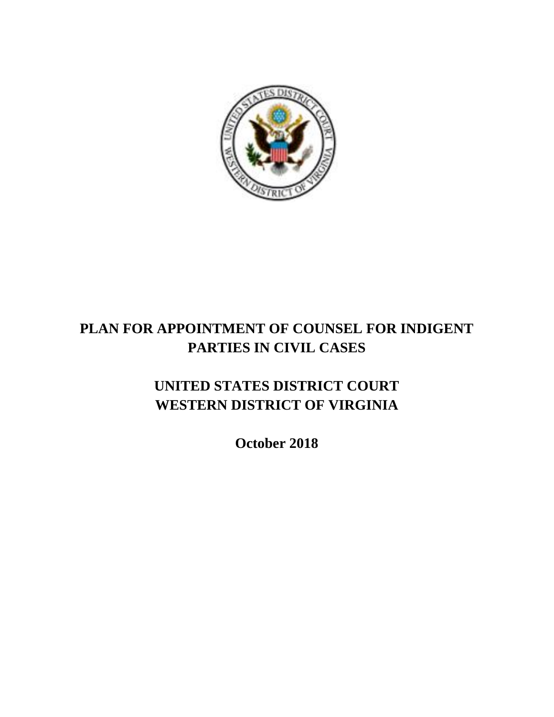

# **PLAN FOR APPOINTMENT OF COUNSEL FOR INDIGENT PARTIES IN CIVIL CASES**

# **UNITED STATES DISTRICT COURT WESTERN DISTRICT OF VIRGINIA**

**October 2018**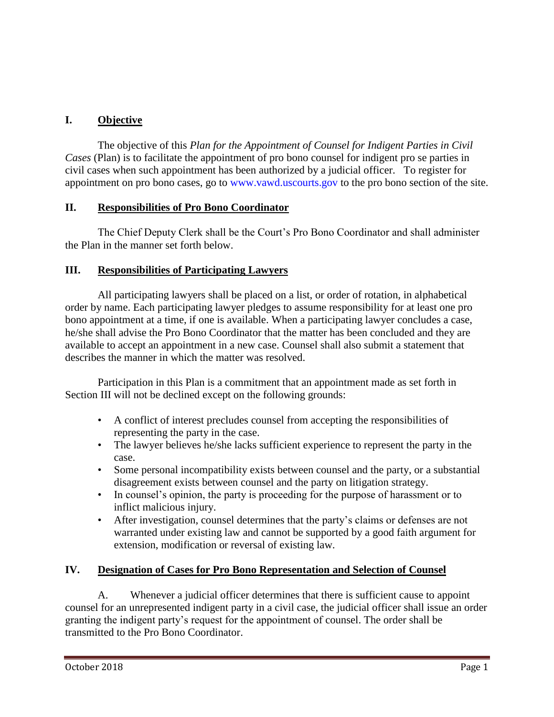### **I. Objective**

The objective of this *Plan for the Appointment of Counsel for Indigent Parties in Civil Cases* (Plan) is to facilitate the appointment of pro bono counsel for indigent pro se parties in civil cases when such appointment has been authorized by a judicial officer. To register for appointment on pro bono cases, go to www.vawd.uscourts.gov to the pro bono section of the site.

#### **II. Responsibilities of Pro Bono Coordinator**

The Chief Deputy Clerk shall be the Court's Pro Bono Coordinator and shall administer the Plan in the manner set forth below.

#### **III. Responsibilities of Participating Lawyers**

All participating lawyers shall be placed on a list, or order of rotation, in alphabetical order by name. Each participating lawyer pledges to assume responsibility for at least one pro bono appointment at a time, if one is available. When a participating lawyer concludes a case, he/she shall advise the Pro Bono Coordinator that the matter has been concluded and they are available to accept an appointment in a new case. Counsel shall also submit a statement that describes the manner in which the matter was resolved.

Participation in this Plan is a commitment that an appointment made as set forth in Section III will not be declined except on the following grounds:

- A conflict of interest precludes counsel from accepting the responsibilities of representing the party in the case.
- The lawyer believes he/she lacks sufficient experience to represent the party in the case.
- Some personal incompatibility exists between counsel and the party, or a substantial disagreement exists between counsel and the party on litigation strategy.
- In counsel's opinion, the party is proceeding for the purpose of harassment or to inflict malicious injury.
- After investigation, counsel determines that the party's claims or defenses are not warranted under existing law and cannot be supported by a good faith argument for extension, modification or reversal of existing law.

#### **IV. Designation of Cases for Pro Bono Representation and Selection of Counsel**

A. Whenever a judicial officer determines that there is sufficient cause to appoint counsel for an unrepresented indigent party in a civil case, the judicial officer shall issue an order granting the indigent party's request for the appointment of counsel. The order shall be transmitted to the Pro Bono Coordinator.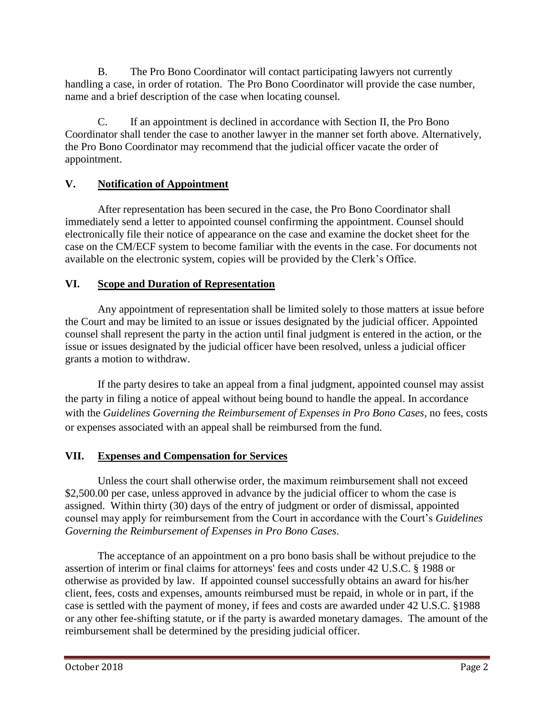B. The Pro Bono Coordinator will contact participating lawyers not currently handling a case, in order of rotation. The Pro Bono Coordinator will provide the case number, name and a brief description of the case when locating counsel.

C. If an appointment is declined in accordance with Section II, the Pro Bono Coordinator shall tender the case to another lawyer in the manner set forth above. Alternatively, the Pro Bono Coordinator may recommend that the judicial officer vacate the order of appointment.

### **V. Notification of Appointment**

After representation has been secured in the case, the Pro Bono Coordinator shall immediately send a letter to appointed counsel confirming the appointment. Counsel should electronically file their notice of appearance on the case and examine the docket sheet for the case on the CM/ECF system to become familiar with the events in the case. For documents not available on the electronic system, copies will be provided by the Clerk's Office.

#### **VI. Scope and Duration of Representation**

Any appointment of representation shall be limited solely to those matters at issue before the Court and may be limited to an issue or issues designated by the judicial officer. Appointed counsel shall represent the party in the action until final judgment is entered in the action, or the issue or issues designated by the judicial officer have been resolved, unless a judicial officer grants a motion to withdraw.

If the party desires to take an appeal from a final judgment, appointed counsel may assist the party in filing a notice of appeal without being bound to handle the appeal. In accordance with the *Guidelines Governing the Reimbursement of Expenses in Pro Bono Cases,* no fees, costs or expenses associated with an appeal shall be reimbursed from the fund.

## **VII. Expenses and Compensation for Services**

Unless the court shall otherwise order, the maximum reimbursement shall not exceed \$2,500.00 per case, unless approved in advance by the judicial officer to whom the case is assigned. Within thirty (30) days of the entry of judgment or order of dismissal, appointed counsel may apply for reimbursement from the Court in accordance with the Court's *Guidelines Governing the Reimbursement of Expenses in Pro Bono Cases*.

The acceptance of an appointment on a pro bono basis shall be without prejudice to the assertion of interim or final claims for attorneys' fees and costs under 42 U.S.C. § 1988 or otherwise as provided by law. If appointed counsel successfully obtains an award for his/her client, fees, costs and expenses, amounts reimbursed must be repaid, in whole or in part, if the case is settled with the payment of money, if fees and costs are awarded under 42 U.S.C. §1988 or any other fee-shifting statute, or if the party is awarded monetary damages. The amount of the reimbursement shall be determined by the presiding judicial officer.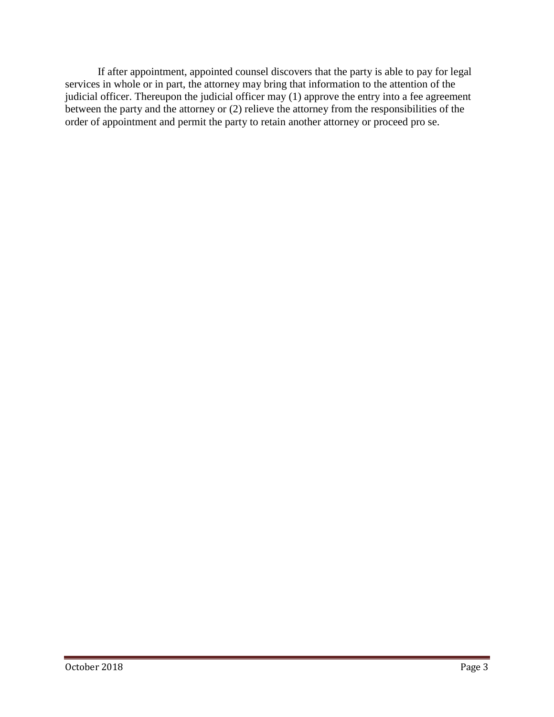If after appointment, appointed counsel discovers that the party is able to pay for legal services in whole or in part, the attorney may bring that information to the attention of the judicial officer. Thereupon the judicial officer may (1) approve the entry into a fee agreement between the party and the attorney or (2) relieve the attorney from the responsibilities of the order of appointment and permit the party to retain another attorney or proceed pro se.